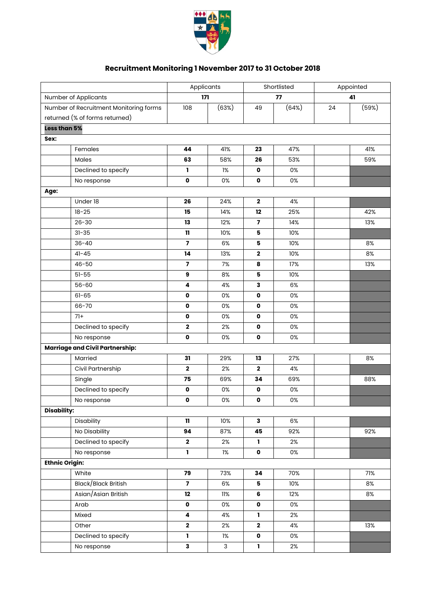

## **Recruitment Monitoring 1 November 2017 to 31 October 2018**

|                                        |                                        | Applicants              |              |                         | Shortlisted |    | Appointed |  |
|----------------------------------------|----------------------------------------|-------------------------|--------------|-------------------------|-------------|----|-----------|--|
| Number of Applicants                   |                                        |                         | 171          | 77                      |             | 41 |           |  |
| Number of Recruitment Monitoring forms |                                        | 108                     | (63%)        | 49                      | (64%)       | 24 | (59%)     |  |
|                                        | returned (% of forms returned)         |                         |              |                         |             |    |           |  |
| Less than 5%                           |                                        |                         |              |                         |             |    |           |  |
| Sex:                                   |                                        |                         |              |                         |             |    |           |  |
|                                        | Females                                | 44                      | 41%          | 23                      | 47%         |    | 41%       |  |
|                                        | Males                                  | 63                      | 58%          | 26                      | 53%         |    | 59%       |  |
|                                        | Declined to specify                    | ı                       | $1\%$        | $\pmb{\mathsf{o}}$      | 0%          |    |           |  |
|                                        | No response                            | $\mathbf{o}$            | 0%           | $\mathbf 0$             | 0%          |    |           |  |
| Age:                                   |                                        |                         |              |                         |             |    |           |  |
|                                        | Under 18                               | 26                      | 24%          | $\mathbf 2$             | 4%          |    |           |  |
|                                        | $18 - 25$                              | 15                      | 14%          | 12                      | 25%         |    | 42%       |  |
|                                        | $26 - 30$                              | 13                      | 12%          | $\overline{\mathbf{z}}$ | 14%         |    | 13%       |  |
|                                        | $31 - 35$                              | $\mathbf{11}$           | 10%          | 5                       | 10%         |    |           |  |
|                                        | $36 - 40$                              | $\overline{\mathbf{z}}$ | 6%           | 5                       | 10%         |    | 8%        |  |
|                                        | $41 - 45$                              | 14                      | 13%          | $\bf 2$                 | 10%         |    | $8%$      |  |
|                                        | $46 - 50$                              | $\overline{\mathbf{z}}$ | 7%           | 8                       | 17%         |    | 13%       |  |
|                                        | $51 - 55$                              | 9                       | 8%           | 5                       | 10%         |    |           |  |
|                                        | $56 - 60$                              | 4                       | 4%           | 3                       | 6%          |    |           |  |
|                                        | $61 - 65$                              | $\pmb{\mathsf{o}}$      | 0%           | $\mathbf 0$             | 0%          |    |           |  |
|                                        | 66-70                                  | 0                       | 0%           | $\mathbf{o}$            | 0%          |    |           |  |
|                                        | $71+$                                  | 0                       | 0%           | $\mathbf{o}$            | 0%          |    |           |  |
|                                        | Declined to specify                    | $\mathbf 2$             | 2%           | $\mathbf 0$             | 0%          |    |           |  |
|                                        | No response                            | 0                       | 0%           | $\mathbf 0$             | 0%          |    |           |  |
|                                        | <b>Marriage and Civil Partnership:</b> |                         |              |                         |             |    |           |  |
|                                        | Married                                | 31                      | 29%          | 13                      | 27%         |    | 8%        |  |
|                                        | Civil Partnership                      | $\mathbf 2$             | 2%           | $\overline{\mathbf{2}}$ | 4%          |    |           |  |
|                                        | Single                                 | 75                      | 69%          | 34                      | 69%         |    | 88%       |  |
|                                        | Declined to specify                    | 0                       | 0%           | $\mathbf 0$             | 0%          |    |           |  |
|                                        | No response                            | 0                       | 0%           | $\mathbf{o}$            | 0%          |    |           |  |
| <b>Disability:</b>                     |                                        |                         |              |                         |             |    |           |  |
|                                        | Disability                             | $\mathbf{H}$            | 10%          | 3                       | 6%          |    |           |  |
|                                        | No Disability                          | 94                      | 87%          | 45                      | 92%         |    | 92%       |  |
|                                        | Declined to specify                    | $\mathbf 2$             | 2%           | 1                       | 2%          |    |           |  |
|                                        | No response                            | L                       | $1\%$        | $\mathbf 0$             | 0%          |    |           |  |
| <b>Ethnic Origin:</b>                  |                                        |                         |              |                         |             |    |           |  |
|                                        | White                                  | 79                      | 73%          | 34                      | 70%         |    | 71%       |  |
|                                        | Black/Black British                    | $\overline{\mathbf{z}}$ | 6%           | 5                       | 10%         |    | 8%        |  |
|                                        | Asian/Asian British                    | 12                      | 11%          | $\bf 6$                 | 12%         |    | 8%        |  |
|                                        | Arab                                   | 0                       | 0%           | $\mathbf 0$             | 0%          |    |           |  |
|                                        | Mixed                                  | 4                       | 4%           | 1                       | 2%          |    |           |  |
|                                        | Other                                  | $\mathbf 2$             | 2%           | $\mathbf{2}$            | 4%          |    | 13%       |  |
|                                        | Declined to specify                    | 1                       | $1\%$        | $\pmb{\mathsf{o}}$      | 0%          |    |           |  |
|                                        | No response                            | $\mathbf{3}$            | $\mathsf{3}$ | $\mathbf 1$             | 2%          |    |           |  |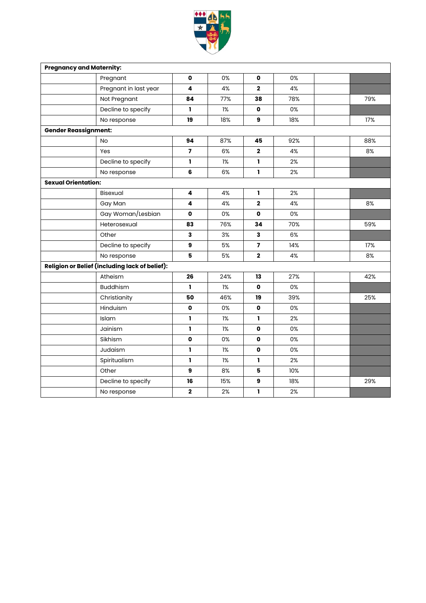

| <b>Pregnancy and Maternity:</b> |                                                       |                  |     |                         |     |     |
|---------------------------------|-------------------------------------------------------|------------------|-----|-------------------------|-----|-----|
|                                 | Pregnant                                              | 0                | 0%  | $\mathbf o$             | 0%  |     |
|                                 | Pregnant in last year                                 | 4                | 4%  | $\mathbf{2}$            | 4%  |     |
|                                 | Not Pregnant                                          | 84               | 77% | 38                      | 78% | 79% |
|                                 | Decline to specify                                    | I.               | 1%  | $\mathbf o$             | 0%  |     |
|                                 | No response                                           | 19               | 18% | 9                       | 18% | 17% |
| <b>Gender Reassignment:</b>     |                                                       |                  |     |                         |     |     |
|                                 | <b>No</b>                                             | 94               | 87% | 45                      | 92% | 88% |
|                                 | Yes                                                   | $\overline{ }$   | 6%  | $\mathbf{2}$            | 4%  | 8%  |
|                                 | Decline to specify                                    | I.               | 1%  | <sub>1</sub>            | 2%  |     |
|                                 | No response                                           | 6                | 6%  | I,                      | 2%  |     |
| <b>Sexual Orientation:</b>      |                                                       |                  |     |                         |     |     |
|                                 | Bisexual                                              | 4                | 4%  | 1                       | 2%  |     |
|                                 | Gay Man                                               | 4                | 4%  | $\mathbf 2$             | 4%  | 8%  |
|                                 | Gay Woman/Lesbian                                     | $\mathbf 0$      | 0%  | $\mathbf o$             | 0%  |     |
|                                 | Heterosexual                                          | 83               | 76% | 34                      | 70% | 59% |
|                                 | Other                                                 | 3                | 3%  | $\mathbf{3}$            | 6%  |     |
|                                 | Decline to specify                                    | 9                | 5%  | $\overline{\mathbf{z}}$ | 14% | 17% |
|                                 | No response                                           | 5                | 5%  | $\mathbf{2}$            | 4%  | 8%  |
|                                 | <b>Religion or Belief (including lack of belief):</b> |                  |     |                         |     |     |
|                                 | Atheism                                               | 26               | 24% | 13                      | 27% | 42% |
|                                 | <b>Buddhism</b>                                       | ı.               | 1%  | 0                       | 0%  |     |
|                                 | Christianity                                          | 50               | 46% | 19                      | 39% | 25% |
|                                 | Hinduism                                              | 0                | 0%  | $\mathbf o$             | 0%  |     |
|                                 | Islam                                                 | I.               | 1%  | I.                      | 2%  |     |
|                                 | Jainism                                               | I.               | 1%  | $\mathbf o$             | 0%  |     |
|                                 | Sikhism                                               | $\mathbf 0$      | 0%  | $\mathbf o$             | 0%  |     |
|                                 | Judaism                                               | I.               | 1%  | $\mathbf{o}$            | 0%  |     |
|                                 | Spiritualism                                          | 1                | 1%  | I,                      | 2%  |     |
|                                 | Other                                                 | $\boldsymbol{9}$ | 8%  | 5                       | 10% |     |
|                                 | Decline to specify                                    | 16               | 15% | $\boldsymbol{9}$        | 18% | 29% |
|                                 | No response                                           | $\mathbf 2$      | 2%  | 1                       | 2%  |     |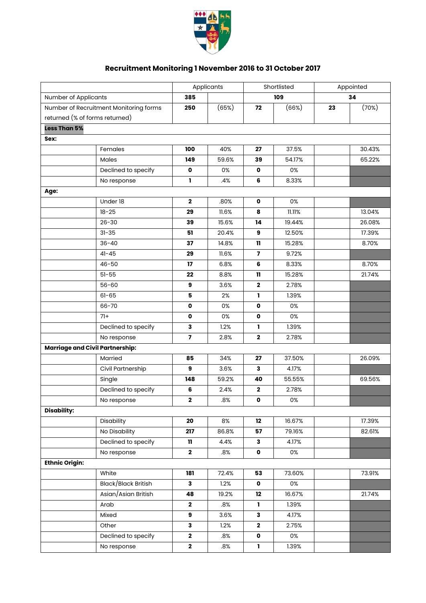

## **Recruitment Monitoring 1 November 2016 to 31 October 2017**

|                                        |                                | Applicants              |       | Shortlisted             |        | Appointed |        |
|----------------------------------------|--------------------------------|-------------------------|-------|-------------------------|--------|-----------|--------|
| Number of Applicants                   |                                | 385                     |       |                         | 109    | 34        |        |
| Number of Recruitment Monitoring forms |                                | 250                     | (65%) | 72                      | (66%)  | 23        | (70%)  |
|                                        | returned (% of forms returned) |                         |       |                         |        |           |        |
| Less Than 5%                           |                                |                         |       |                         |        |           |        |
| Sex:                                   |                                |                         |       |                         |        |           |        |
|                                        | Females                        | 100                     | 40%   | 27                      | 37.5%  |           | 30.43% |
|                                        | Males                          | 149                     | 59.6% | 39                      | 54.17% |           | 65.22% |
|                                        | Declined to specify            | $\pmb{\mathsf{o}}$      | 0%    | $\pmb{\mathsf{o}}$      | 0%     |           |        |
|                                        | No response                    | $\mathbf{I}$            | .4%   | 6                       | 8.33%  |           |        |
| Age:                                   |                                |                         |       |                         |        |           |        |
|                                        | Under 18                       | $\mathbf 2$             | .80%  | 0                       | 0%     |           |        |
|                                        | $18 - 25$                      | 29                      | 11.6% | 8                       | 11.11% |           | 13.04% |
|                                        | $26 - 30$                      | 39                      | 15.6% | 14                      | 19.44% |           | 26.08% |
|                                        | $31 - 35$                      | 51                      | 20.4% | 9                       | 12.50% |           | 17.39% |
|                                        | $36 - 40$                      | 37                      | 14.8% | $\mathbf{11}$           | 15.28% |           | 8.70%  |
|                                        | $41 - 45$                      | 29                      | 11.6% | $\overline{\mathbf{z}}$ | 9.72%  |           |        |
|                                        | $46 - 50$                      | 17                      | 6.8%  | 6                       | 8.33%  |           | 8.70%  |
|                                        | $51 - 55$                      | 22                      | 8.8%  | 11                      | 15.28% |           | 21.74% |
|                                        | $56 - 60$                      | 9                       | 3.6%  | $\mathbf 2$             | 2.78%  |           |        |
|                                        | $61 - 65$                      | 5                       | 2%    | L                       | 1.39%  |           |        |
|                                        | 66-70                          | $\mathbf{o}$            | 0%    | $\mathbf{o}$            | 0%     |           |        |
|                                        | $71+$                          | 0                       | 0%    | $\mathbf{o}$            | 0%     |           |        |
|                                        | Declined to specify            | 3                       | 1.2%  | L                       | 1.39%  |           |        |
|                                        | No response                    | $\overline{\mathbf{z}}$ | 2.8%  | $\mathbf 2$             | 2.78%  |           |        |
| <b>Marriage and Civil Partnership:</b> |                                |                         |       |                         |        |           |        |
|                                        | Married                        | 85                      | 34%   | 27                      | 37.50% |           | 26.09% |
|                                        | Civil Partnership              | 9                       | 3.6%  | 3                       | 4.17%  |           |        |
|                                        | Single                         | 148                     | 59.2% | 40                      | 55.55% |           | 69.56% |
|                                        | Declined to specify            | 6                       | 2.4%  | $\mathbf 2$             | 2.78%  |           |        |
|                                        | No response                    | $\mathbf 2$             | .8%   | $\mathbf o$             | 0%     |           |        |
| <b>Disability:</b>                     |                                |                         |       |                         |        |           |        |
|                                        | Disability                     | 20                      | 8%    | 12                      | 16.67% |           | 17.39% |
|                                        | No Disability                  | 217                     | 86.8% | 57                      | 79.16% |           | 82.61% |
|                                        | Declined to specify            | $\mathbf{11}$           | 4.4%  | 3                       | 4.17%  |           |        |
|                                        | No response                    | $\mathbf{2}$            | .8%   | $\mathbf{o}$            | 0%     |           |        |
| <b>Ethnic Origin:</b>                  |                                |                         |       |                         |        |           |        |
|                                        | White                          | 181                     | 72.4% | 53                      | 73.60% |           | 73.91% |
|                                        | Black/Black British            | $\overline{\mathbf{3}}$ | 1.2%  | $\mathbf 0$             | 0%     |           |        |
|                                        | Asian/Asian British            | 48                      | 19.2% | 12                      | 16.67% |           | 21.74% |
|                                        | Arab                           | $\mathbf 2$             | .8%   | 1                       | 1.39%  |           |        |
|                                        | Mixed                          | 9                       | 3.6%  | 3                       | 4.17%  |           |        |
|                                        | Other                          | 3                       | 1.2%  | $\mathbf{2}$            | 2.75%  |           |        |
|                                        | Declined to specify            | $\mathbf 2$             | .8%   | $\pmb{\mathsf{o}}$      | 0%     |           |        |
|                                        | No response                    | $\mathbf{2}$            | .8%   | $\mathbf{I}$            | 1.39%  |           |        |